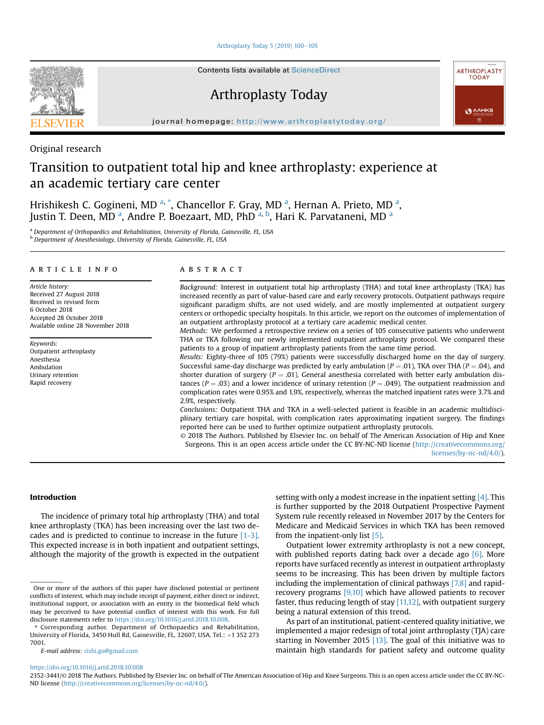Arthroplasty Today 5  $(2019)$   $100-105$  $100-105$ 

Contents lists available at [ScienceDirect](www.sciencedirect.com/science/journal/23523441)

Arthroplasty Today



journal homepage: <http://www.arthroplastytoday.org/>



# Original research

# Transition to outpatient total hip and knee arthroplasty: experience at an academic tertiary care center

Hrishikesh C. Gogineni, MD <sup>a, \*</sup>, Chancellor F. Gray, MD <sup>a</sup>, Hernan A. Prieto, MD <sup>a</sup>, Justin T. Deen, MD <sup>a</sup>, Andre P. Boezaart, MD, PhD <sup>a, b</sup>, Hari K. Parvataneni, MD <sup>a</sup>

a Department of Orthopaedics and Rehabilitation, University of Florida, Gainesville, FL, USA **b** Department of Anesthesiology, University of Florida, Gainesville, FL, USA

# article info

Article history: Received 27 August 2018 Received in revised form 6 October 2018 Accepted 28 October 2018 Available online 28 November 2018

Keywords: Outpatient arthroplasty Anesthesia Ambulation Urinary retention Rapid recovery

# **ABSTRACT**

Background: Interest in outpatient total hip arthroplasty (THA) and total knee arthroplasty (TKA) has increased recently as part of value-based care and early recovery protocols. Outpatient pathways require significant paradigm shifts, are not used widely, and are mostly implemented at outpatient surgery centers or orthopedic specialty hospitals. In this article, we report on the outcomes of implementation of an outpatient arthroplasty protocol at a tertiary care academic medical center.

Methods: We performed a retrospective review on a series of 105 consecutive patients who underwent THA or TKA following our newly implemented outpatient arthroplasty protocol. We compared these patients to a group of inpatient arthroplasty patients from the same time period.

Results: Eighty-three of 105 (79%) patients were successfully discharged home on the day of surgery. Successful same-day discharge was predicted by early ambulation ( $P = .01$ ), TKA over THA ( $P = .04$ ), and shorter duration of surgery ( $P = .01$ ). General anesthesia correlated with better early ambulation distances ( $P = .03$ ) and a lower incidence of urinary retention ( $P = .049$ ). The outpatient readmission and complication rates were 0.95% and 1.9%, respectively, whereas the matched inpatient rates were 3.7% and 2.9%, respectively.

Conclusions: Outpatient THA and TKA in a well-selected patient is feasible in an academic multidisciplinary tertiary care hospital, with complication rates approximating inpatient surgery. The findings reported here can be used to further optimize outpatient arthroplasty protocols.

© 2018 The Authors. Published by Elsevier Inc. on behalf of The American Association of Hip and Knee Surgeons. This is an open access article under the CC BY-NC-ND license ([http://creativecommons.org/](http://creativecommons.org/licenses/by-nc-nd/4.0/) [licenses/by-nc-nd/4.0/](http://creativecommons.org/licenses/by-nc-nd/4.0/)).

# Introduction

The incidence of primary total hip arthroplasty (THA) and total knee arthroplasty (TKA) has been increasing over the last two decades and is predicted to continue to increase in the future [\[1-3\].](#page-5-0) This expected increase is in both inpatient and outpatient settings, although the majority of the growth is expected in the outpatient

<https://doi.org/10.1016/j.artd.2018.10.008>

setting with only a modest increase in the inpatient setting  $[4]$ . This is further supported by the 2018 Outpatient Prospective Payment System rule recently released in November 2017 by the Centers for Medicare and Medicaid Services in which TKA has been removed from the inpatient-only list [\[5\]](#page-5-0).

Outpatient lower extremity arthroplasty is not a new concept, with published reports dating back over a decade ago  $[6]$ . More reports have surfaced recently as interest in outpatient arthroplasty seems to be increasing. This has been driven by multiple factors including the implementation of clinical pathways [\[7,8\]](#page-5-0) and rapidrecovery programs [\[9,10\]](#page-5-0) which have allowed patients to recover faster, thus reducing length of stay [\[11,12\],](#page-5-0) with outpatient surgery being a natural extension of this trend.

As part of an institutional, patient-centered quality initiative, we implemented a major redesign of total joint arthroplasty (TJA) care starting in November 2015  $[13]$ . The goal of this initiative was to maintain high standards for patient safety and outcome quality

2352-3441/© 2018 The Authors. Published by Elsevier Inc. on behalf of The American Association of Hip and Knee Surgeons. This is an open access article under the CC BY-NC-ND license (<http://creativecommons.org/licenses/by-nc-nd/4.0/>).

One or more of the authors of this paper have disclosed potential or pertinent conflicts of interest, which may include receipt of payment, either direct or indirect, institutional support, or association with an entity in the biomedical field which may be perceived to have potential conflict of interest with this work. For full disclosure statements refer to [https://doi.org/10.1016/j.artd.2018.10.008.](https://doi.org/10.1016/j.artd.2018.10.008)

<sup>\*</sup> Corresponding author. Department of Orthopaedics and Rehabilitation, University of Florida, 3450 Hull Rd, Gainesville, FL, 32607, USA. Tel.:  $+1$  352 273 7001.

E-mail address: [rishi.go@gmail.com](mailto:rishi.go@gmail.com)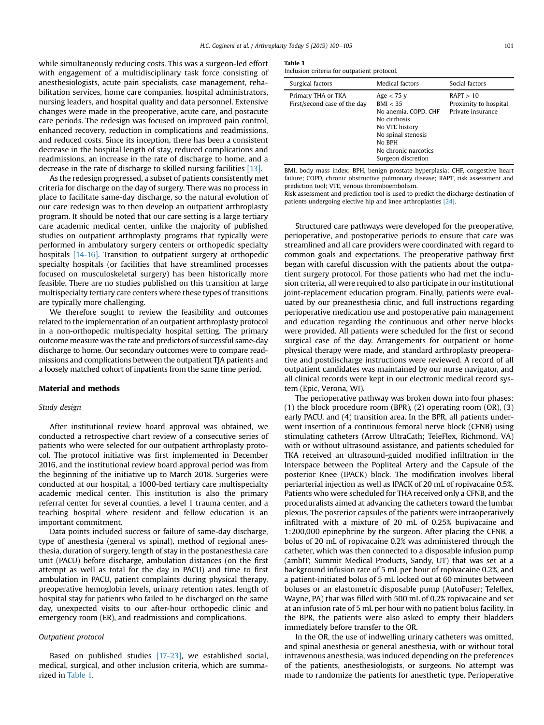while simultaneously reducing costs. This was a surgeon-led effort with engagement of a multidisciplinary task force consisting of anesthesiologists, acute pain specialists, case management, rehabilitation services, home care companies, hospital administrators, nursing leaders, and hospital quality and data personnel. Extensive changes were made in the preoperative, acute care, and postacute care periods. The redesign was focused on improved pain control, enhanced recovery, reduction in complications and readmissions, and reduced costs. Since its inception, there has been a consistent decrease in the hospital length of stay, reduced complications and readmissions, an increase in the rate of discharge to home, and a decrease in the rate of discharge to skilled nursing facilities [\[13\]](#page-5-0).

As the redesign progressed, a subset of patients consistently met criteria for discharge on the day of surgery. There was no process in place to facilitate same-day discharge, so the natural evolution of our care redesign was to then develop an outpatient arthroplasty program. It should be noted that our care setting is a large tertiary care academic medical center, unlike the majority of published studies on outpatient arthroplasty programs that typically were performed in ambulatory surgery centers or orthopedic specialty hospitals [\[14-16\]](#page-5-0). Transition to outpatient surgery at orthopedic specialty hospitals (or facilities that have streamlined processes focused on musculoskeletal surgery) has been historically more feasible. There are no studies published on this transition at large multispecialty tertiary care centers where these types of transitions are typically more challenging.

We therefore sought to review the feasibility and outcomes related to the implementation of an outpatient arthroplasty protocol in a non-orthopedic multispecialty hospital setting. The primary outcome measure was the rate and predictors of successful same-day discharge to home. Our secondary outcomes were to compare readmissions and complications between the outpatient TJA patients and a loosely matched cohort of inpatients from the same time period.

#### Material and methods

#### Study design

After institutional review board approval was obtained, we conducted a retrospective chart review of a consecutive series of patients who were selected for our outpatient arthroplasty protocol. The protocol initiative was first implemented in December 2016, and the institutional review board approval period was from the beginning of the initiative up to March 2018. Surgeries were conducted at our hospital, a 1000-bed tertiary care multispecialty academic medical center. This institution is also the primary referral center for several counties, a level 1 trauma center, and a teaching hospital where resident and fellow education is an important commitment.

Data points included success or failure of same-day discharge, type of anesthesia (general vs spinal), method of regional anesthesia, duration of surgery, length of stay in the postanesthesia care unit (PACU) before discharge, ambulation distances (on the first attempt as well as total for the day in PACU) and time to first ambulation in PACU, patient complaints during physical therapy, preoperative hemoglobin levels, urinary retention rates, length of hospital stay for patients who failed to be discharged on the same day, unexpected visits to our after-hour orthopedic clinic and emergency room (ER), and readmissions and complications.

# Outpatient protocol

Based on published studies [\[17-23\],](#page-5-0) we established social, medical, surgical, and other inclusion criteria, which are summarized in Table 1.

#### Table 1

| Inclusion criteria for outpatient protocol. |  |  |  |
|---------------------------------------------|--|--|--|
|---------------------------------------------|--|--|--|

| Surgical factors                                   | Medical factors                                                                                                                                                  | Social factors                                          |
|----------------------------------------------------|------------------------------------------------------------------------------------------------------------------------------------------------------------------|---------------------------------------------------------|
| Primary THA or TKA<br>First/second case of the day | Age $<$ 75 v<br>BMI < 35<br>No anemia, COPD, CHF<br>No cirrhosis<br>No VTE history<br>No spinal stenosis<br>No BPH<br>No chronic narcotics<br>Surgeon discretion | RAPT > 10<br>Proximity to hospital<br>Private insurance |

BMI, body mass index; BPH, benign prostate hyperplasia; CHF, congestive heart failure; COPD, chronic obstructive pulmonary disease; RAPT, risk assessment and prediction tool; VTE, venous thromboembolism.

Risk assessment and prediction tool is used to predict the discharge destination of patients undergoing elective hip and knee arthroplasties [\[24\].](#page-5-0)

Structured care pathways were developed for the preoperative, perioperative, and postoperative periods to ensure that care was streamlined and all care providers were coordinated with regard to common goals and expectations. The preoperative pathway first began with careful discussion with the patients about the outpatient surgery protocol. For those patients who had met the inclusion criteria, all were required to also participate in our institutional joint-replacement education program. Finally, patients were evaluated by our preanesthesia clinic, and full instructions regarding perioperative medication use and postoperative pain management and education regarding the continuous and other nerve blocks were provided. All patients were scheduled for the first or second surgical case of the day. Arrangements for outpatient or home physical therapy were made, and standard arthroplasty preoperative and postdischarge instructions were reviewed. A record of all outpatient candidates was maintained by our nurse navigator, and all clinical records were kept in our electronic medical record system (Epic, Verona, WI).

The perioperative pathway was broken down into four phases: (1) the block procedure room (BPR), (2) operating room (OR), (3) early PACU, and (4) transition area. In the BPR, all patients underwent insertion of a continuous femoral nerve block (CFNB) using stimulating catheters (Arrow UltraCath; TeleFlex, Richmond, VA) with or without ultrasound assistance, and patients scheduled for TKA received an ultrasound-guided modified infiltration in the Interspace between the Popliteal Artery and the Capsule of the posterior Knee (IPACK) block. The modification involves liberal periarterial injection as well as IPACK of 20 mL of ropivacaine 0.5%. Patients who were scheduled for THA received only a CFNB, and the proceduralists aimed at advancing the catheters toward the lumbar plexus. The posterior capsules of the patients were intraoperatively infiltrated with a mixture of 20 mL of 0.25% bupivacaine and 1:200,000 epinephrine by the surgeon. After placing the CFNB, a bolus of 20 mL of ropivacaine 0.2% was administered through the catheter, which was then connected to a disposable infusion pump (ambIT; Summit Medical Products, Sandy, UT) that was set at a background infusion rate of 5 mL per hour of ropivacaine 0.2%, and a patient-initiated bolus of 5 mL locked out at 60 minutes between boluses or an elastometric disposable pump (AutoFuser; Teleflex, Wayne, PA) that was filled with 500 mL of 0.2% ropivacaine and set at an infusion rate of 5 mL per hour with no patient bolus facility. In the BPR, the patients were also asked to empty their bladders immediately before transfer to the OR.

In the OR, the use of indwelling urinary catheters was omitted, and spinal anesthesia or general anesthesia, with or without total intravenous anesthesia, was induced depending on the preferences of the patients, anesthesiologists, or surgeons. No attempt was made to randomize the patients for anesthetic type. Perioperative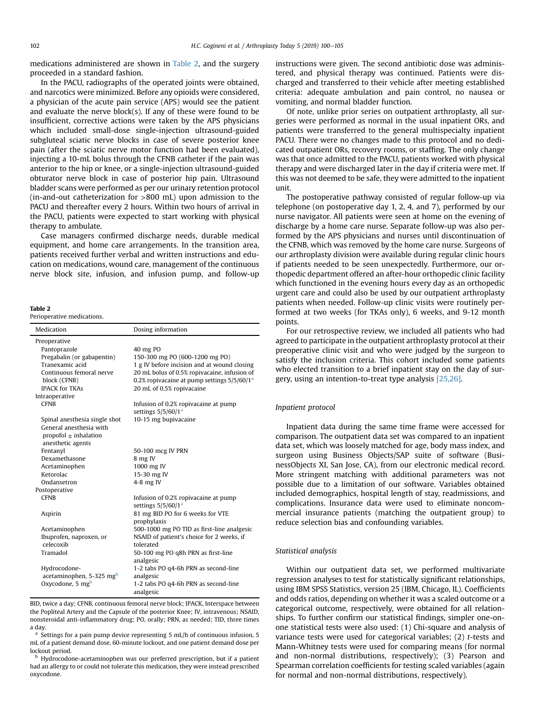medications administered are shown in Table 2, and the surgery proceeded in a standard fashion.

In the PACU, radiographs of the operated joints were obtained, and narcotics were minimized. Before any opioids were considered, a physician of the acute pain service (APS) would see the patient and evaluate the nerve block(s). If any of these were found to be insufficient, corrective actions were taken by the APS physicians which included small-dose single-injection ultrasound-guided subgluteal sciatic nerve blocks in case of severe posterior knee pain (after the sciatic nerve motor function had been evaluated), injecting a 10-mL bolus through the CFNB catheter if the pain was anterior to the hip or knee, or a single-injection ultrasound-guided obturator nerve block in case of posterior hip pain. Ultrasound bladder scans were performed as per our urinary retention protocol (in-and-out catheterization for >800 mL) upon admission to the PACU and thereafter every 2 hours. Within two hours of arrival in the PACU, patients were expected to start working with physical therapy to ambulate.

Case managers confirmed discharge needs, durable medical equipment, and home care arrangements. In the transition area, patients received further verbal and written instructions and education on medications, wound care, management of the continuous nerve block site, infusion, and infusion pump, and follow-up

#### Table 2

| Perioperative medications.           |                                                   |
|--------------------------------------|---------------------------------------------------|
| Medication                           | Dosing information                                |
| Preoperative                         |                                                   |
| Pantoprazole                         | 40 mg PO                                          |
| Pregabalin (or gabapentin)           | 150-300 mg PO (600-1200 mg PO)                    |
| Tranexamic acid                      | 1 g IV before incision and at wound closing       |
| Continuous femoral nerve             | 20 mL bolus of 0.5% ropivacaine, infusion of      |
| block (CFNB)                         | 0.2% ropivacaine at pump settings $5/5/60/13$     |
| <b>IPACK for TKAs</b>                | 20 mL of 0.5% ropivacaine                         |
| Intraoperative                       |                                                   |
| <b>CFNB</b>                          | Infusion of 0.2% ropivacaine at pump              |
|                                      | settings $5/5/60/1a$                              |
| Spinal anesthesia single shot        | 10-15 mg bupivacaine                              |
| General anesthesia with              |                                                   |
| propofol $\pm$ inhalation            |                                                   |
| anesthetic agents                    |                                                   |
| Fentanyl                             | 50-100 mcg IV PRN                                 |
| Dexamethasone                        | 8 mg IV                                           |
| Acetaminophen                        | 1000 mg IV                                        |
| Ketorolac                            | 15-30 mg IV                                       |
| Ondansetron                          | $4-8$ mg IV                                       |
| Postoperative                        |                                                   |
| <b>CFNB</b>                          | Infusion of 0.2% ropivacaine at pump              |
|                                      | settings $5/5/60/1a$                              |
| Aspirin                              | 81 mg BID PO for 6 weeks for VTE                  |
|                                      | prophylaxis                                       |
| Acetaminophen                        | 500-1000 mg PO TID as first-line analgesic        |
| Ibuprofen, naproxen, or              | NSAID of patient's choice for 2 weeks, if         |
| celecoxib                            | tolerated                                         |
| Tramadol                             | 50-100 mg PO q8h PRN as first-line<br>analgesic   |
| Hydrocodone-                         | 1-2 tabs PO q4-6h PRN as second-line              |
| acetaminophen, 5-325 mg <sup>b</sup> | analgesic                                         |
| Oxycodone, 5 mgb                     | 1-2 tabs PO q4-6h PRN as second-line<br>analgesic |

is temoral nerve block; IPACK, Interspace between the Popliteal Artery and the Capsule of the posterior Knee; IV, intravenous; NSAID, nonsteroidal anti-inflammatory drug; PO, orally; PRN, as needed; TID, three times a day.

Settings for a pain pump device representing 5 mL/h of continuous infusion, 5 mL of a patient demand dose, 60-minute lockout, and one patient demand dose per lockout period.

**b** Hydrocodone-acetaminophen was our preferred prescription, but if a patient had an allergy to or could not tolerate this medication, they were instead prescribed oxycodone.

instructions were given. The second antibiotic dose was administered, and physical therapy was continued. Patients were discharged and transferred to their vehicle after meeting established criteria: adequate ambulation and pain control, no nausea or vomiting, and normal bladder function.

Of note, unlike prior series on outpatient arthroplasty, all surgeries were performed as normal in the usual inpatient ORs, and patients were transferred to the general multispecialty inpatient PACU. There were no changes made to this protocol and no dedicated outpatient ORs, recovery rooms, or staffing. The only change was that once admitted to the PACU, patients worked with physical therapy and were discharged later in the day if criteria were met. If this was not deemed to be safe, they were admitted to the inpatient unit.

The postoperative pathway consisted of regular follow-up via telephone (on postoperative day 1, 2, 4, and 7), performed by our nurse navigator. All patients were seen at home on the evening of discharge by a home care nurse. Separate follow-up was also performed by the APS physicians and nurses until discontinuation of the CFNB, which was removed by the home care nurse. Surgeons of our arthroplasty division were available during regular clinic hours if patients needed to be seen unexpectedly. Furthermore, our orthopedic department offered an after-hour orthopedic clinic facility which functioned in the evening hours every day as an orthopedic urgent care and could also be used by our outpatient arthroplasty patients when needed. Follow-up clinic visits were routinely performed at two weeks (for TKAs only), 6 weeks, and 9-12 month points.

For our retrospective review, we included all patients who had agreed to participate in the outpatient arthroplasty protocol at their preoperative clinic visit and who were judged by the surgeon to satisfy the inclusion criteria. This cohort included some patients who elected transition to a brief inpatient stay on the day of surgery, using an intention-to-treat type analysis [\[25,26\].](#page-5-0)

#### Inpatient protocol

Inpatient data during the same time frame were accessed for comparison. The outpatient data set was compared to an inpatient data set, which was loosely matched for age, body mass index, and surgeon using Business Objects/SAP suite of software (BusinessObjects XI, San Jose, CA), from our electronic medical record. More stringent matching with additional parameters was not possible due to a limitation of our software. Variables obtained included demographics, hospital length of stay, readmissions, and complications. Insurance data were used to eliminate noncommercial insurance patients (matching the outpatient group) to reduce selection bias and confounding variables.

# Statistical analysis

Within our outpatient data set, we performed multivariate regression analyses to test for statistically significant relationships, using IBM SPSS Statistics, version 25 (IBM, Chicago, IL). Coefficients and odds ratios, depending on whether it was a scaled outcome or a categorical outcome, respectively, were obtained for all relationships. To further confirm our statistical findings, simpler one-onone statistical tests were also used: (1) Chi-square and analysis of variance tests were used for categorical variables; (2) t-tests and Mann-Whitney tests were used for comparing means (for normal and non-normal distributions, respectively); (3) Pearson and Spearman correlation coefficients for testing scaled variables (again for normal and non-normal distributions, respectively).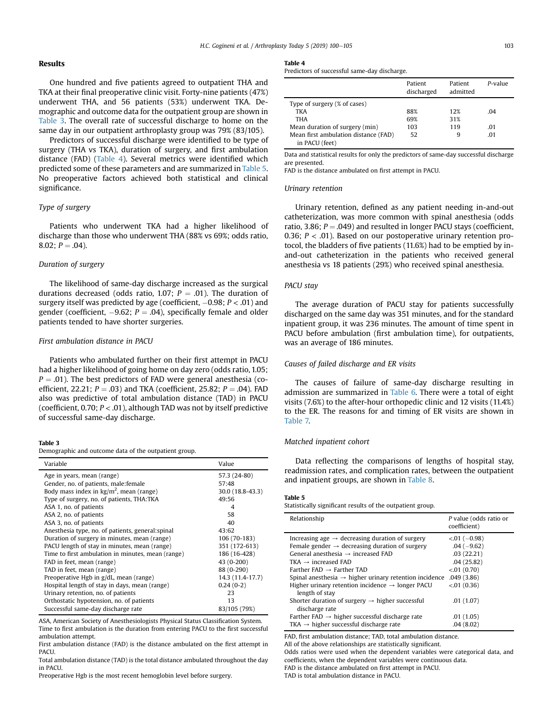One hundred and five patients agreed to outpatient THA and TKA at their final preoperative clinic visit. Forty-nine patients (47%) underwent THA, and 56 patients (53%) underwent TKA. Demographic and outcome data for the outpatient group are shown in Table 3. The overall rate of successful discharge to home on the same day in our outpatient arthroplasty group was 79% (83/105).

Predictors of successful discharge were identified to be type of surgery (THA vs TKA), duration of surgery, and first ambulation distance (FAD) (Table 4). Several metrics were identified which predicted some of these parameters and are summarized in Table 5. No preoperative factors achieved both statistical and clinical significance.

# Type of surgery

Patients who underwent TKA had a higher likelihood of discharge than those who underwent THA (88% vs 69%; odds ratio, 8.02;  $P = .04$ ).

# Duration of surgery

The likelihood of same-day discharge increased as the surgical durations decreased (odds ratio, 1.07;  $P = .01$ ). The duration of surgery itself was predicted by age (coefficient,  $-0.98$ ;  $P < .01$ ) and gender (coefficient,  $-9.62$ ;  $P = .04$ ), specifically female and older patients tended to have shorter surgeries.

### First ambulation distance in PACU

Patients who ambulated further on their first attempt in PACU had a higher likelihood of going home on day zero (odds ratio, 1.05;  $P = .01$ ). The best predictors of FAD were general anesthesia (coefficient, 22.21;  $P = .03$ ) and TKA (coefficient, 25.82;  $P = .04$ ). FAD also was predictive of total ambulation distance (TAD) in PACU (coefficient,  $0.70$ ;  $P < .01$ ), although TAD was not by itself predictive of successful same-day discharge.

### Table 3

Demographic and outcome data of the outpatient group.

| Variable                                          | Value            |
|---------------------------------------------------|------------------|
| Age in years, mean (range)                        | 57.3 (24-80)     |
| Gender, no. of patients, male: female             | 57:48            |
| Body mass index in $\text{kg/m}^2$ , mean (range) | 30.0 (18.8-43.3) |
| Type of surgery, no. of patients, THA:TKA         | 49:56            |
| ASA 1, no. of patients                            | 4                |
| ASA 2, no. of patients                            | 58               |
| ASA 3, no. of patients                            | 40               |
| Anesthesia type, no. of patients, general: spinal | 43:62            |
| Duration of surgery in minutes, mean (range)      | 106 (70-183)     |
| PACU length of stay in minutes, mean (range)      | 351 (172-613)    |
| Time to first ambulation in minutes, mean (range) | 186 (16-428)     |
| FAD in feet, mean (range)                         | 43 (0-200)       |
| TAD in feet, mean (range)                         | 88 (0-290)       |
| Preoperative Hgb in g/dL, mean (range)            | 14.3 (11.4-17.7) |
| Hospital length of stay in days, mean (range)     | $0.24(0-2)$      |
| Urinary retention, no. of patients                | 23               |
| Orthostatic hypotension, no, of patients          | 13               |
| Successful same-day discharge rate                | 83/105 (79%)     |

ASA, American Society of Anesthesiologists Physical Status Classification System. Time to first ambulation is the duration from entering PACU to the first successful ambulation attempt.

First ambulation distance (FAD) is the distance ambulated on the first attempt in PACU.

Total ambulation distance (TAD) is the total distance ambulated throughout the day in PACU.

Preoperative Hgb is the most recent hemoglobin level before surgery.

#### Table 4

Predictors of successful same-day discharge.

|                                                        | Patient<br>discharged | Patient<br>admitted | P-value |
|--------------------------------------------------------|-----------------------|---------------------|---------|
| Type of surgery (% of cases)                           |                       |                     |         |
| <b>TKA</b>                                             | 88%                   | 12%                 | .04     |
| <b>THA</b>                                             | 69%                   | 31%                 |         |
| Mean duration of surgery (min)                         | 103                   | 119                 | .01     |
| Mean first ambulation distance (FAD)<br>in PACU (feet) | 52                    | 9                   | .01     |

Data and statistical results for only the predictors of same-day successful discharge are presented.

FAD is the distance ambulated on first attempt in PACU.

# Urinary retention

Urinary retention, defined as any patient needing in-and-out catheterization, was more common with spinal anesthesia (odds ratio, 3.86;  $P = .049$ ) and resulted in longer PACU stays (coefficient, 0.36;  $P < .01$ ). Based on our postoperative urinary retention protocol, the bladders of five patients (11.6%) had to be emptied by inand-out catheterization in the patients who received general anesthesia vs 18 patients (29%) who received spinal anesthesia.

#### PACU stay

The average duration of PACU stay for patients successfully discharged on the same day was 351 minutes, and for the standard inpatient group, it was 236 minutes. The amount of time spent in PACU before ambulation (first ambulation time), for outpatients, was an average of 186 minutes.

# Causes of failed discharge and ER visits

The causes of failure of same-day discharge resulting in admission are summarized in [Table 6](#page-4-0). There were a total of eight visits (7.6%) to the after-hour orthopedic clinic and 12 visits (11.4%) to the ER. The reasons for and timing of ER visits are shown in [Table 7.](#page-4-0)

# Matched inpatient cohort

Data reflecting the comparisons of lengths of hospital stay, readmission rates, and complication rates, between the outpatient and inpatient groups, are shown in [Table 8.](#page-4-0)

#### Table 5

Statistically significant results of the outpatient group.

| Relationship                                                       | P value (odds ratio or<br>coefficient) |
|--------------------------------------------------------------------|----------------------------------------|
| Increasing age $\rightarrow$ decreasing duration of surgery        | $< 0.01 (-0.98)$                       |
| Female gender $\rightarrow$ decreasing duration of surgery         | $.04(-9.62)$                           |
| General anesthesia $\rightarrow$ increased FAD                     | .03(22.21)                             |
| $TKA \rightarrow increased FAD$                                    | .04(25.82)                             |
| Farther $FAD \rightarrow Farther TAD$                              | < 01(0.70)                             |
| Spinal anesthesia $\rightarrow$ higher urinary retention incidence | .049(3.86)                             |
| Higher urinary retention incidence $\rightarrow$ longer PACU       | < 01(0.36)                             |
| length of stay                                                     |                                        |
| Shorter duration of surgery $\rightarrow$ higher successful        | .01(1.07)                              |
| discharge rate                                                     |                                        |
| Farther FAD $\rightarrow$ higher successful discharge rate         | .01(1.05)                              |
| $TKA \rightarrow higher$ successful discharge rate                 | .04(8.02)                              |

FAD, first ambulation distance; TAD, total ambulation distance.

All of the above relationships are statistically significant.

Odds ratios were used when the dependent variables were categorical data, and coefficients, when the dependent variables were continuous data.

FAD is the distance ambulated on first attempt in PACU.

TAD is total ambulation distance in PACU.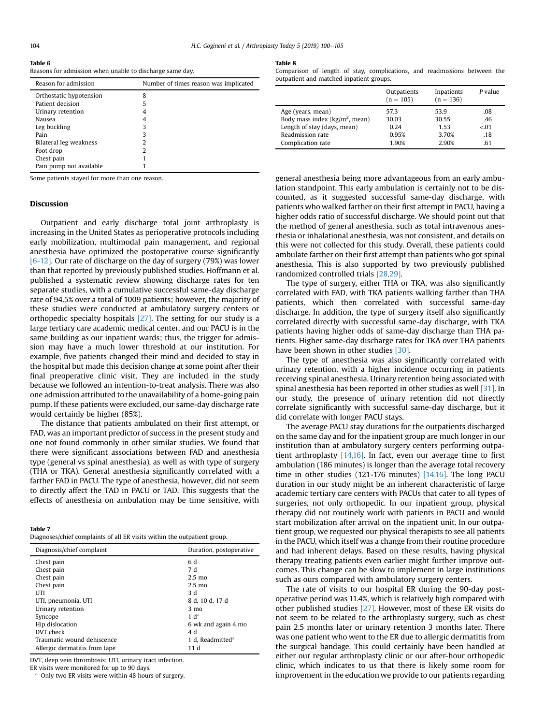#### <span id="page-4-0"></span>Table 6

Reasons for admission when unable to discharge same day.

| Reason for admission    | Number of times reason was implicated |
|-------------------------|---------------------------------------|
| Orthostatic hypotension | 8                                     |
| Patient decision        | 5                                     |
| Urinary retention       |                                       |
| Nausea                  | 4                                     |
| Leg buckling            | 3                                     |
| Pain                    | 3                                     |
| Bilateral leg weakness  | 2                                     |
| Foot drop               | 2                                     |
| Chest pain              |                                       |
| Pain pump not available |                                       |

Some patients stayed for more than one reason.

# Discussion

Outpatient and early discharge total joint arthroplasty is increasing in the United States as perioperative protocols including early mobilization, multimodal pain management, and regional anesthesia have optimized the postoperative course significantly [\[6-12\].](#page-5-0) Our rate of discharge on the day of surgery (79%) was lower than that reported by previously published studies. Hoffmann et al. published a systematic review showing discharge rates for ten separate studies, with a cumulative successful same-day discharge rate of 94.5% over a total of 1009 patients; however, the majority of these studies were conducted at ambulatory surgery centers or orthopedic specialty hospitals [\[27\].](#page-5-0) The setting for our study is a large tertiary care academic medical center, and our PACU is in the same building as our inpatient wards; thus, the trigger for admission may have a much lower threshold at our institution. For example, five patients changed their mind and decided to stay in the hospital but made this decision change at some point after their final preoperative clinic visit. They are included in the study because we followed an intention-to-treat analysis. There was also one admission attributed to the unavailability of a home-going pain pump. If these patients were excluded, our same-day discharge rate would certainly be higher (85%).

The distance that patients ambulated on their first attempt, or FAD, was an important predictor of success in the present study and one not found commonly in other similar studies. We found that there were significant associations between FAD and anesthesia type (general vs spinal anesthesia), as well as with type of surgery (THA or TKA). General anesthesia significantly correlated with a farther FAD in PACU. The type of anesthesia, however, did not seem to directly affect the TAD in PACU or TAD. This suggests that the effects of anesthesia on ambulation may be time sensitive, with

#### Table 7

Diagnoses/chief complaints of all ER visits within the outpatient group.

| Diagnosis/chief complaint     | Duration, postoperative      |
|-------------------------------|------------------------------|
| Chest pain                    | 6 d                          |
| Chest pain                    | 7 d                          |
| Chest pain                    | $2.5 \text{ mo}$             |
| Chest pain                    | $2.5 \text{ mo}$             |
| UTI                           | 3 d                          |
| UTI, pneumonia, UTI           | 8 d. 10 d. 17 d              |
| Urinary retention             | $3 \text{ mo}$               |
| Syncope                       | 1 d <sup>a</sup>             |
| Hip dislocation               | 6 wk and again 4 mo          |
| DVT check                     | 4 d                          |
| Traumatic wound dehiscence    | 1 d. Readmitted <sup>a</sup> |
| Allergic dermatitis from tape | 11 d                         |

DVT, deep vein thrombosis; UTI, urinary tract infection.

ER visits were monitored for up to 90 days.

<sup>a</sup> Only two ER visits were within 48 hours of surgery.

#### Table 8

Comparison of length of stay, complications, and readmissions between the outpatient and matched inpatient groups.

|                                           | Outpatients<br>$(n = 105)$ | Inpatients<br>$(n = 136)$ | P value |
|-------------------------------------------|----------------------------|---------------------------|---------|
| Age (years, mean)                         | 57.3                       | 53.9                      | .08     |
| Body mass index ( $\text{kg/m}^2$ , mean) | 30.03                      | 30.55                     | .46     |
| Length of stay (days, mean)               | 0.24                       | 1.53                      | < 01    |
| Readmission rate                          | 0.95%                      | 3.70%                     | .18     |
| Complication rate                         | 1.90%                      | 2.90%                     | .61     |

general anesthesia being more advantageous from an early ambulation standpoint. This early ambulation is certainly not to be discounted, as it suggested successful same-day discharge, with patients who walked farther on their first attempt in PACU, having a higher odds ratio of successful discharge. We should point out that the method of general anesthesia, such as total intravenous anesthesia or inhalational anesthesia, was not consistent, and details on this were not collected for this study. Overall, these patients could ambulate farther on their first attempt than patients who got spinal anesthesia. This is also supported by two previously published randomized controlled trials [\[28,29\].](#page-5-0)

The type of surgery, either THA or TKA, was also significantly correlated with FAD, with TKA patients walking farther than THA patients, which then correlated with successful same-day discharge. In addition, the type of surgery itself also significantly correlated directly with successful same-day discharge, with TKA patients having higher odds of same-day discharge than THA patients. Higher same-day discharge rates for TKA over THA patients have been shown in other studies [\[30\].](#page-5-0)

The type of anesthesia was also significantly correlated with urinary retention, with a higher incidence occurring in patients receiving spinal anesthesia. Urinary retention being associated with spinal anesthesia has been reported in other studies as well [\[31\]](#page-5-0). In our study, the presence of urinary retention did not directly correlate significantly with successful same-day discharge, but it did correlate with longer PACU stays.

The average PACU stay durations for the outpatients discharged on the same day and for the inpatient group are much longer in our institution than at ambulatory surgery centers performing outpatient arthroplasty [\[14,16\]](#page-5-0). In fact, even our average time to first ambulation (186 minutes) is longer than the average total recovery time in other studies (121-176 minutes) [\[14,16\].](#page-5-0) The long PACU duration in our study might be an inherent characteristic of large academic tertiary care centers with PACUs that cater to all types of surgeries, not only orthopedic. In our inpatient group, physical therapy did not routinely work with patients in PACU and would start mobilization after arrival on the inpatient unit. In our outpatient group, we requested our physical therapists to see all patients in the PACU, which itself was a change from their routine procedure and had inherent delays. Based on these results, having physical therapy treating patients even earlier might further improve outcomes. This change can be slow to implement in large institutions such as ours compared with ambulatory surgery centers.

The rate of visits to our hospital ER during the 90-day postoperative period was 11.4%, which is relatively high compared with other published studies [\[27\].](#page-5-0) However, most of these ER visits do not seem to be related to the arthroplasty surgery, such as chest pain 2.5 months later or urinary retention 3 months later. There was one patient who went to the ER due to allergic dermatitis from the surgical bandage. This could certainly have been handled at either our regular arthroplasty clinic or our after-hour orthopedic clinic, which indicates to us that there is likely some room for improvement in the education we provide to our patients regarding